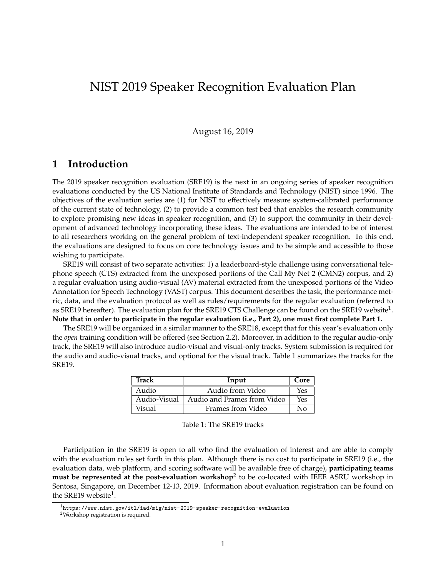# NIST 2019 Speaker Recognition Evaluation Plan

August 16, 2019

#### **1 Introduction**

The 2019 speaker recognition evaluation (SRE19) is the next in an ongoing series of speaker recognition evaluations conducted by the US National Institute of Standards and Technology (NIST) since 1996. The objectives of the evaluation series are (1) for NIST to effectively measure system-calibrated performance of the current state of technology, (2) to provide a common test bed that enables the research community to explore promising new ideas in speaker recognition, and (3) to support the community in their development of advanced technology incorporating these ideas. The evaluations are intended to be of interest to all researchers working on the general problem of text-independent speaker recognition. To this end, the evaluations are designed to focus on core technology issues and to be simple and accessible to those wishing to participate.

SRE19 will consist of two separate activities: 1) a leaderboard-style challenge using conversational telephone speech (CTS) extracted from the unexposed portions of the Call My Net 2 (CMN2) corpus, and 2) a regular evaluation using audio-visual (AV) material extracted from the unexposed portions of the Video Annotation for Speech Technology (VAST) corpus. This document describes the task, the performance metric, data, and the evaluation protocol as well as rules/requirements for the regular evaluation (referred to as SRE19 hereafter). The evaluation plan for the SRE19 CTS Challenge can be found on the SRE19 website $^1$ . **Note that in order to participate in the regular evaluation (i.e., Part 2), one must first complete Part 1.**

The SRE19 will be organized in a similar manner to the SRE18, except that for this year's evaluation only the *open* training condition will be offered (see Section 2.2). Moreover, in addition to the regular audio-only track, the SRE19 will also introduce audio-visual and visual-only tracks. System submission is required for the audio and audio-visual tracks, and optional for the visual track. Table 1 summarizes the tracks for the SRE19.

| <b>Track</b> | Input                       | Core |
|--------------|-----------------------------|------|
| Audio        | Audio from Video            | Yes  |
| Audio-Visual | Audio and Frames from Video | Yes  |
| Visual       | Frames from Video           | N٥   |

Participation in the SRE19 is open to all who find the evaluation of interest and are able to comply with the evaluation rules set forth in this plan. Although there is no cost to participate in SRE19 (i.e., the evaluation data, web platform, and scoring software will be available free of charge), **participating teams must be represented at the post-evaluation workshop<sup>2</sup> to be co-located with IEEE ASRU workshop in** Sentosa, Singapore, on December 12-13, 2019. Information about evaluation registration can be found on the SRE19 website<sup>1</sup>.

 $1$ https://www.nist.gov/itl/iad/mig/nist-2019-speaker-recognition-evaluation

<sup>2</sup>Workshop registration is required.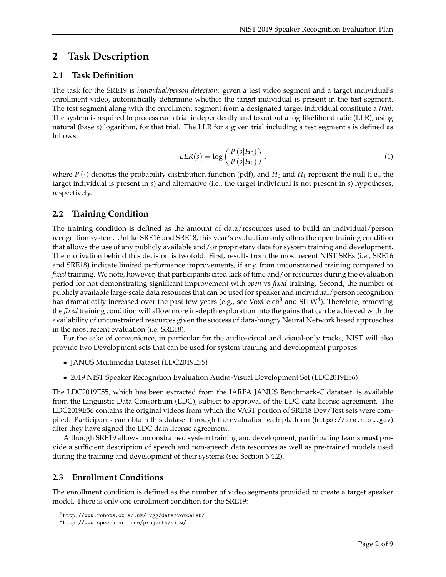## **2 Task Description**

### **2.1 Task Definition**

The task for the SRE19 is *individual/person detection*: given a test video segment and a target individual's enrollment video, automatically determine whether the target individual is present in the test segment. The test segment along with the enrollment segment from a designated target individual constitute a *trial*. The system is required to process each trial independently and to output a log-likelihood ratio (LLR), using natural (base *e*) logarithm, for that trial. The LLR for a given trial including a test segment *s* is defined as follows

$$
LLR(s) = \log\left(\frac{P\left(s|H_0\right)}{P\left(s|H_1\right)}\right). \tag{1}
$$

where  $P(\cdot)$  denotes the probability distribution function (pdf), and  $H_0$  and  $H_1$  represent the null (i.e., the target individual is present in *s*) and alternative (i.e., the target individual is not present in *s*) hypotheses, respectively.

### **2.2 Training Condition**

The training condition is defined as the amount of data/resources used to build an individual/person recognition system. Unlike SRE16 and SRE18, this year's evaluation only offers the open training condition that allows the use of any publicly available and/or proprietary data for system training and development. The motivation behind this decision is twofold. First, results from the most recent NIST SREs (i.e., SRE16 and SRE18) indicate limited performance improvements, if any, from unconstrained training compared to *fixed* training. We note, however, that participants cited lack of time and/or resources during the evaluation period for not demonstrating significant improvement with *open* vs *fixed* training. Second, the number of publicly available large-scale data resources that can be used for speaker and individual/person recognition has dramatically increased over the past few years (e.g., see VoxCeleb<sup>3</sup> and SITW<sup>4</sup>). Therefore, removing the *fixed* training condition will allow more in-depth exploration into the gains that can be achieved with the availability of unconstrained resources given the success of data-hungry Neural Network based approaches in the most recent evaluation (i.e. SRE18).

For the sake of convenience, in particular for the audio-visual and visual-only tracks, NIST will also provide two Development sets that can be used for system training and development purposes:

- JANUS Multimedia Dataset (LDC2019E55)
- 2019 NIST Speaker Recognition Evaluation Audio-Visual Development Set (LDC2019E56)

The LDC2019E55, which has been extracted from the IARPA JANUS Benchmark-C datatset, is available from the Linguistic Data Consortium (LDC), subject to approval of the LDC data license agreement. The LDC2019E56 contains the original videos from which the VAST portion of SRE18 Dev/Test sets were compiled. Participants can obtain this dataset through the evaluation web platform (https://sre.nist.gov) after they have signed the LDC data license agreement.

Although SRE19 allows unconstrained system training and development, participating teams **must** provide a sufficient description of speech and non-speech data resources as well as pre-trained models used during the training and development of their systems (see Section 6.4.2).

#### **2.3 Enrollment Conditions**

The enrollment condition is defined as the number of video segments provided to create a target speaker model. There is only one enrollment condition for the SRE19:

 $3$ http://www.robots.ox.ac.uk/~vgg/data/voxceleb/

<sup>4</sup>http://www.speech.sri.com/projects/sitw/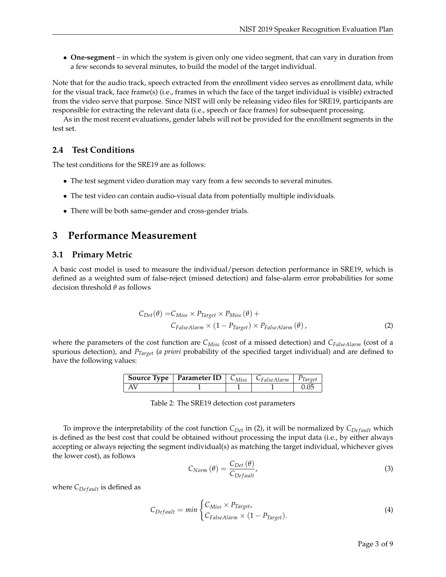• **One-segment** – in which the system is given only one video segment, that can vary in duration from a few seconds to several minutes, to build the model of the target individual.

Note that for the audio track, speech extracted from the enrollment video serves as enrollment data, while for the visual track, face frame(s) (i.e., frames in which the face of the target individual is visible) extracted from the video serve that purpose. Since NIST will only be releasing video files for SRE19, participants are responsible for extracting the relevant data (i.e., speech or face frames) for subsequent processing.

As in the most recent evaluations, gender labels will not be provided for the enrollment segments in the test set.

### **2.4 Test Conditions**

The test conditions for the SRE19 are as follows:

- The test segment video duration may vary from a few seconds to several minutes.
- The test video can contain audio-visual data from potentially multiple individuals.
- There will be both same-gender and cross-gender trials.

## **3 Performance Measurement**

#### **3.1 Primary Metric**

A basic cost model is used to measure the individual/person detection performance in SRE19, which is defined as a weighted sum of false-reject (missed detection) and false-alarm error probabilities for some decision threshold *θ* as follows

$$
C_{Det}(\theta) = C_{Miss} \times P_{Target} \times P_{Miss}(\theta) +
$$
  
\n
$$
C_{False Alarm} \times (1 - P_{Target}) \times P_{False Alarm}(\theta),
$$
\n(2)

where the parameters of the cost function are *CMiss* (cost of a missed detection) and *CFalseAlarm* (cost of a spurious detection), and *PTarget* (*a priori* probability of the specified target individual) and are defined to have the following values:

| <b>Source Type</b>   <b>Parameter ID</b>   $C_{Miss}$   $C_{False}$ Alarm   $P_{Target}$ |  |  |
|------------------------------------------------------------------------------------------|--|--|
|                                                                                          |  |  |

Table 2: The SRE19 detection cost parameters

To improve the interpretability of the cost function  $C_{Det}$  in (2), it will be normalized by  $C_{Def}$  *ault* which is defined as the best cost that could be obtained without processing the input data (i.e., by either always accepting or always rejecting the segment individual(s) as matching the target individual, whichever gives the lower cost), as follows

$$
C_{Norm}(\theta) = \frac{C_{Det}(\theta)}{C_{Default}},
$$
\n(3)

where  $C_{Default}$  is defined as

$$
C_{Default} = min \begin{cases} C_{Miss} \times P_{Target}, \\ C_{False Alarm} \times (1 - P_{Target}). \end{cases}
$$
 (4)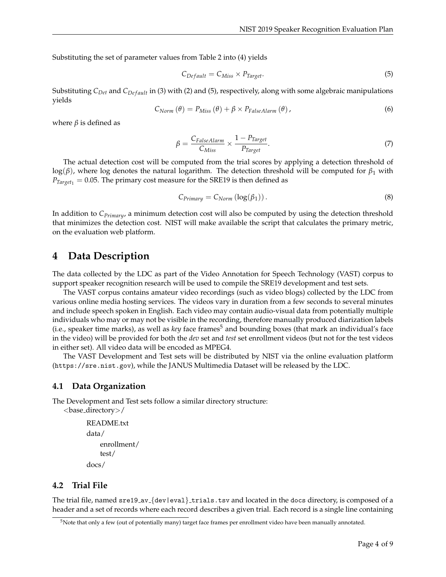Substituting the set of parameter values from Table 2 into (4) yields

$$
C_{Default} = C_{Miss} \times P_{Target}.
$$
\n
$$
(5)
$$

Substituting *C<sub>Det</sub>* and *C<sub>Def ault*</sub> in (3) with (2) and (5), respectively, along with some algebraic manipulations yields

$$
C_{Norm}(\theta) = P_{Miss}(\theta) + \beta \times P_{FalseAlarm}(\theta), \qquad (6)
$$

where  $\beta$  is defined as

$$
\beta = \frac{C_{False} \text{Alarm}}{C_{Miss}} \times \frac{1 - P_{Target}}{P_{Target}}.
$$
\n
$$
(7)
$$

The actual detection cost will be computed from the trial scores by applying a detection threshold of log(*β*), where log denotes the natural logarithm. The detection threshold will be computed for *β*<sup>1</sup> with  $P_{Target_1} = 0.05$ . The primary cost measure for the SRE19 is then defined as

$$
C_{Primary} = C_{Norm} \left( \log(\beta_1) \right). \tag{8}
$$

In addition to *CPrimary*, a minimum detection cost will also be computed by using the detection threshold that minimizes the detection cost. NIST will make available the script that calculates the primary metric, on the evaluation web platform.

#### **4 Data Description**

The data collected by the LDC as part of the Video Annotation for Speech Technology (VAST) corpus to support speaker recognition research will be used to compile the SRE19 development and test sets.

The VAST corpus contains amateur video recordings (such as video blogs) collected by the LDC from various online media hosting services. The videos vary in duration from a few seconds to several minutes and include speech spoken in English. Each video may contain audio-visual data from potentially multiple individuals who may or may not be visible in the recording, therefore manually produced diarization labels (i.e., speaker time marks), as well as *key* face frames<sup>5</sup> and bounding boxes (that mark an individual's face in the video) will be provided for both the *dev* set and *test* set enrollment videos (but not for the test videos in either set). All video data will be encoded as MPEG4.

The VAST Development and Test sets will be distributed by NIST via the online evaluation platform (https://sre.nist.gov), while the JANUS Multimedia Dataset will be released by the LDC.

#### **4.1 Data Organization**

The Development and Test sets follow a similar directory structure: <base directory>/

```
README.txt
```

```
data/
    enrollment/
    test/
docs/
```
#### **4.2 Trial File**

The trial file, named sre19\_av\_{dev|eval}\_trials.tsv and located in the docs directory, is composed of a header and a set of records where each record describes a given trial. Each record is a single line containing

 $5$ Note that only a few (out of potentially many) target face frames per enrollment video have been manually annotated.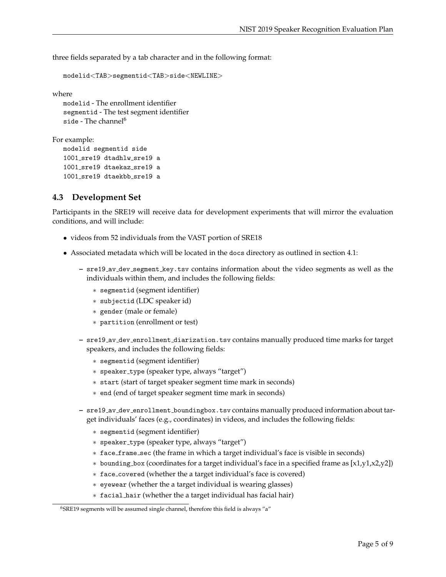three fields separated by a tab character and in the following format:

```
modelid<TAB>segmentid<TAB>side<NEWLINE>
```
where

```
modelid - The enrollment identifier
segmentid - The test segment identifier
side - The channel<sup>6</sup></sup>
```
For example:

```
modelid segmentid side
1001 sre19 dtadhlw sre19 a
1001 sre19 dtaekaz sre19 a
1001_sre19 dtaekbb_sre19 a
```
#### **4.3 Development Set**

Participants in the SRE19 will receive data for development experiments that will mirror the evaluation conditions, and will include:

- videos from 52 individuals from the VAST portion of SRE18
- Associated metadata which will be located in the docs directory as outlined in section 4.1:
	- **–** sre19 av dev segment key.tsv contains information about the video segments as well as the individuals within them, and includes the following fields:
		- ∗ segmentid (segment identifier)
		- ∗ subjectid (LDC speaker id)
		- ∗ gender (male or female)
		- ∗ partition (enrollment or test)
	- **–** sre19 av dev enrollment diarization.tsv contains manually produced time marks for target speakers, and includes the following fields:
		- ∗ segmentid (segment identifier)
		- ∗ speaker type (speaker type, always "target")
		- ∗ start (start of target speaker segment time mark in seconds)
		- ∗ end (end of target speaker segment time mark in seconds)
	- **–** sre19 av dev enrollment boundingbox.tsv contains manually produced information about target individuals' faces (e.g., coordinates) in videos, and includes the following fields:
		- ∗ segmentid (segment identifier)
		- ∗ speaker type (speaker type, always "target")
		- ∗ face frame sec (the frame in which a target individual's face is visible in seconds)
		- $*$  bounding box (coordinates for a target individual's face in a specified frame as  $[x1,y1,x2,y2]$ )
		- ∗ face covered (whether the a target individual's face is covered)
		- ∗ eyewear (whether the a target individual is wearing glasses)
		- ∗ facial hair (whether the a target individual has facial hair)

<sup>&</sup>lt;sup>6</sup>SRE19 segments will be assumed single channel, therefore this field is always "a"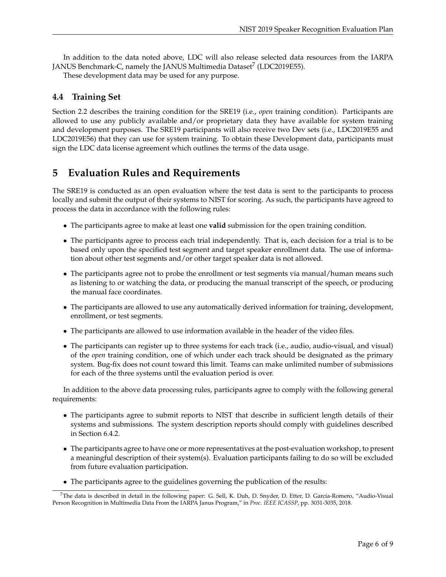In addition to the data noted above, LDC will also release selected data resources from the IARPA JANUS Benchmark-C, namely the JANUS Multimedia Dataset $^7$  (LDC2019E55).

These development data may be used for any purpose.

#### **4.4 Training Set**

Section 2.2 describes the training condition for the SRE19 (i.e., *open* training condition). Participants are allowed to use any publicly available and/or proprietary data they have available for system training and development purposes. The SRE19 participants will also receive two Dev sets (i.e., LDC2019E55 and LDC2019E56) that they can use for system training. To obtain these Development data, participants must sign the LDC data license agreement which outlines the terms of the data usage.

## **5 Evaluation Rules and Requirements**

The SRE19 is conducted as an open evaluation where the test data is sent to the participants to process locally and submit the output of their systems to NIST for scoring. As such, the participants have agreed to process the data in accordance with the following rules:

- The participants agree to make at least one **valid** submission for the open training condition.
- The participants agree to process each trial independently. That is, each decision for a trial is to be based only upon the specified test segment and target speaker enrollment data. The use of information about other test segments and/or other target speaker data is not allowed.
- The participants agree not to probe the enrollment or test segments via manual/human means such as listening to or watching the data, or producing the manual transcript of the speech, or producing the manual face coordinates.
- The participants are allowed to use any automatically derived information for training, development, enrollment, or test segments.
- The participants are allowed to use information available in the header of the video files.
- The participants can register up to three systems for each track (i.e., audio, audio-visual, and visual) of the *open* training condition, one of which under each track should be designated as the primary system. Bug-fix does not count toward this limit. Teams can make unlimited number of submissions for each of the three systems until the evaluation period is over.

In addition to the above data processing rules, participants agree to comply with the following general requirements:

- The participants agree to submit reports to NIST that describe in sufficient length details of their systems and submissions. The system description reports should comply with guidelines described in Section 6.4.2.
- The participants agree to have one or more representatives at the post-evaluation workshop, to present a meaningful description of their system(s). Evaluation participants failing to do so will be excluded from future evaluation participation.
- The participants agree to the guidelines governing the publication of the results:

<sup>7</sup>The data is described in detail in the following paper: G. Sell, K. Duh, D. Snyder, D. Etter, D. Garcia-Romero, "Audio-Visual Person Recognition in Multimedia Data From the IARPA Janus Program," in *Proc. IEEE ICASSP*, pp. 3031-3035, 2018.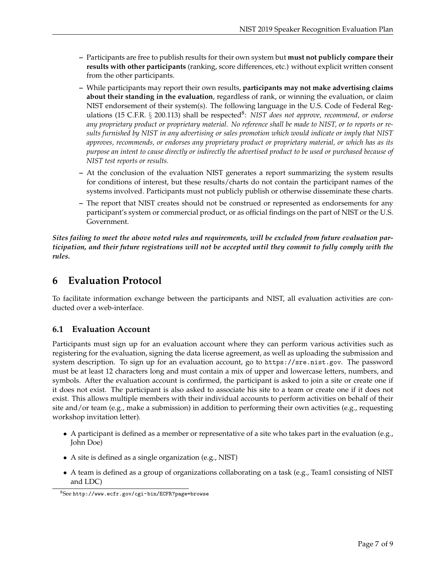- **–** Participants are free to publish results for their own system but **must not publicly compare their results with other participants** (ranking, score differences, etc.) without explicit written consent from the other participants.
- **–** While participants may report their own results, **participants may not make advertising claims about their standing in the evaluation**, regardless of rank, or winning the evaluation, or claim NIST endorsement of their system(s). The following language in the U.S. Code of Federal Regulations (15 C.F.R. § 200.113) shall be respected<sup>8</sup>: NIST does not approve, recommend, or endorse *any proprietary product or proprietary material. No reference shall be made to NIST, or to reports or results furnished by NIST in any advertising or sales promotion which would indicate or imply that NIST approves, recommends, or endorses any proprietary product or proprietary material, or which has as its purpose an intent to cause directly or indirectly the advertised product to be used or purchased because of NIST test reports or results.*
- **–** At the conclusion of the evaluation NIST generates a report summarizing the system results for conditions of interest, but these results/charts do not contain the participant names of the systems involved. Participants must not publicly publish or otherwise disseminate these charts.
- **–** The report that NIST creates should not be construed or represented as endorsements for any participant's system or commercial product, or as official findings on the part of NIST or the U.S. Government.

*Sites failing to meet the above noted rules and requirements, will be excluded from future evaluation participation, and their future registrations will not be accepted until they commit to fully comply with the rules.*

## **6 Evaluation Protocol**

To facilitate information exchange between the participants and NIST, all evaluation activities are conducted over a web-interface.

## **6.1 Evaluation Account**

Participants must sign up for an evaluation account where they can perform various activities such as registering for the evaluation, signing the data license agreement, as well as uploading the submission and system description. To sign up for an evaluation account, go to https://sre.nist.gov. The password must be at least 12 characters long and must contain a mix of upper and lowercase letters, numbers, and symbols. After the evaluation account is confirmed, the participant is asked to join a site or create one if it does not exist. The participant is also asked to associate his site to a team or create one if it does not exist. This allows multiple members with their individual accounts to perform activities on behalf of their site and/or team (e.g., make a submission) in addition to performing their own activities (e.g., requesting workshop invitation letter).

- A participant is defined as a member or representative of a site who takes part in the evaluation (e.g., John Doe)
- A site is defined as a single organization (e.g., NIST)
- A team is defined as a group of organizations collaborating on a task (e.g., Team1 consisting of NIST and LDC)

<sup>8</sup>See http://www.ecfr.gov/cgi-bin/ECFR?page=browse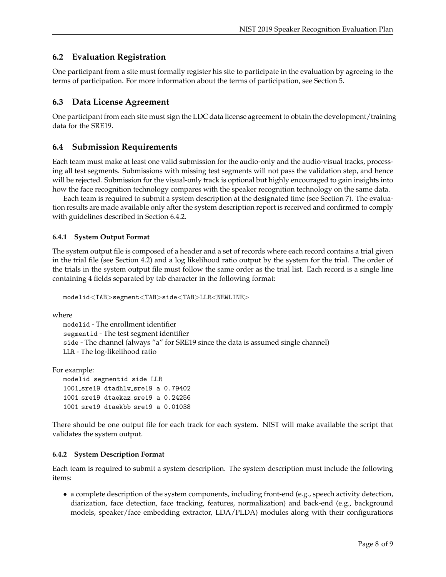### **6.2 Evaluation Registration**

One participant from a site must formally register his site to participate in the evaluation by agreeing to the terms of participation. For more information about the terms of participation, see Section 5.

### **6.3 Data License Agreement**

One participant from each site must sign the LDC data license agreement to obtain the development/training data for the SRE19.

#### **6.4 Submission Requirements**

Each team must make at least one valid submission for the audio-only and the audio-visual tracks, processing all test segments. Submissions with missing test segments will not pass the validation step, and hence will be rejected. Submission for the visual-only track is optional but highly encouraged to gain insights into how the face recognition technology compares with the speaker recognition technology on the same data.

Each team is required to submit a system description at the designated time (see Section 7). The evaluation results are made available only after the system description report is received and confirmed to comply with guidelines described in Section 6.4.2.

#### **6.4.1 System Output Format**

The system output file is composed of a header and a set of records where each record contains a trial given in the trial file (see Section 4.2) and a log likelihood ratio output by the system for the trial. The order of the trials in the system output file must follow the same order as the trial list. Each record is a single line containing 4 fields separated by tab character in the following format:

modelid<TAB>segment<TAB>side<TAB>LLR<NEWLINE>

where

```
modelid - The enrollment identifier
segmentid - The test segment identifier
side - The channel (always "a" for SRE19 since the data is assumed single channel)
LLR - The log-likelihood ratio
```
For example:

```
modelid segmentid side LLR
1001 sre19 dtadhlw sre19 a 0.79402
1001 sre19 dtaekaz sre19 a 0.24256
1001 sre19 dtaekbb sre19 a 0.01038
```
There should be one output file for each track for each system. NIST will make available the script that validates the system output.

#### **6.4.2 System Description Format**

Each team is required to submit a system description. The system description must include the following items:

• a complete description of the system components, including front-end (e.g., speech activity detection, diarization, face detection, face tracking, features, normalization) and back-end (e.g., background models, speaker/face embedding extractor, LDA/PLDA) modules along with their configurations